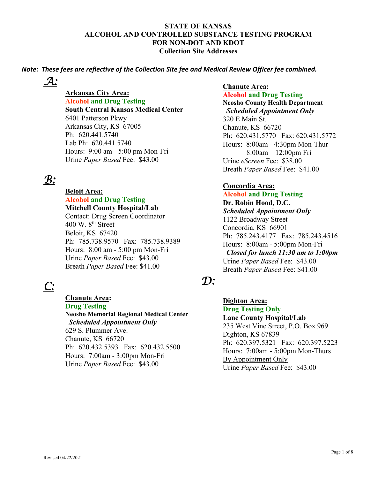*Note: These fees are reflective of the Collection Site fee and Medical Review Officer fee combined.*

*A:* 

**Arkansas City Area: Alcohol and Drug Testing South Central Kansas Medical Center**  6401 Patterson Pkwy Arkansas City, KS 67005 Ph: 620.441.5740 Lab Ph: 620.441.5740 Hours: 9:00 am - 5:00 pm Mon-Fri Urine *Paper Based* Fee: \$43.00

# *B:*

 **Beloit Area: Alcohol and Drug Testing**

**Mitchell County Hospital/Lab**  Contact: Drug Screen Coordinator 400 W.  $8<sup>th</sup>$  Street Beloit, KS 67420 Ph: 785.738.9570 Fax: 785.738.9389 Hours: 8:00 am - 5:00 pm Mon-Fri Urine *Paper Based* Fee: \$43.00 Breath *Paper Based* Fee: \$41.00

# *C:*

 **Chanute Area:**

**Drug Testing** 

**Neosho Memorial Regional Medical Center**   *Scheduled Appointment Only* 629 S. Plummer Ave. Chanute, KS 66720

Ph: 620.432.5393 Fax: 620.432.5500 Hours: 7:00am - 3:00pm Mon-Fri Urine *Paper Based* Fee: \$43.00

### **Chanute Area:**

**Alcohol and Drug Testing Neosho County Health Department**   *Scheduled Appointment Only* 320 E Main St. Chanute, KS 66720 Ph: 620.431.5770 Fax: 620.431.5772 Hours: 8:00am - 4:30pm Mon-Thur 8:00am – 12:00pm Fri Urine *eScreen* Fee: \$38.00 Breath *Paper Based* Fee: \$41.00

### **Concordia Area:**

**Alcohol and Drug Testing Dr. Robin Hood, D.C.**  *Scheduled Appointment Only* 1122 Broadway Street Concordia, KS 66901 Ph: 785.243.4177 Fax: 785.243.4516 Hours: 8:00am - 5:00pm Mon-Fri  *Closed for lunch 11:30 am to 1:00pm* Urine *Paper Based* Fee: \$43.00 Breath *Paper Based* Fee: \$41.00

# *D:*

 **Dighton Area: Drug Testing Only Lane County Hospital/Lab**  235 West Vine Street, P.O. Box 969 Dighton, KS 67839 Ph: 620.397.5321 Fax: 620.397.5223 Hours: 7:00am - 5:00pm Mon-Thurs By Appointment Only Urine *Paper Based* Fee: \$43.00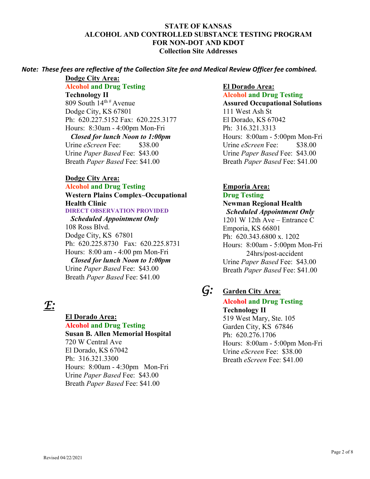### *Note: These fees are reflective of the Collection Site fee and Medical Review Officer fee combined.*

**Dodge City Area: Alcohol and Drug Testing Technology II**  809 South  $14^{\text{th }\#}$  Avenue Dodge City, KS 67801 Ph: 620.227.5152 Fax: 620.225.3177 Hours: 8:30am - 4:00pm Mon-Fri *Closed for lunch Noon to 1:00pm* Urine *eScreen* Fee: \$38.00 Urine *Paper Based* Fee: \$43.00 Breath *Paper Based* Fee: \$41.00

### **Dodge City Area:**

**Alcohol and Drug Testing Western Plains Complex–Occupational Health Clinic DIRECT OBSERVATION PROVIDED** 

 *Scheduled Appointment Only* 108 Ross Blvd. Dodge City, KS 67801 Ph: 620.225.8730 Fax: 620.225.8731 Hours: 8:00 am - 4:00 pm Mon-Fri *Closed for lunch Noon to 1:00pm* Urine *Paper Based* Fee: \$43.00 Breath *Paper Based* Fee: \$41.00

# *E:*

### **El Dorado Area:**

**Alcohol and Drug Testing Susan B. Allen Memorial Hospital**  720 W Central Ave El Dorado, KS 67042 Ph: 316.321.3300 Hours: 8:00am - 4:30pm Mon-Fri Urine *Paper Based* Fee: \$43.00 Breath *Paper Based* Fee: \$41.00

### **El Dorado Area:**

 **Alcohol and Drug Testing Assured Occupational Solutions**  111 West Ash St El Dorado, KS 67042 Ph: 316.321.3313 Hours: 8:00am - 5:00pm Mon-Fri Urine *eScreen* Fee: \$38.00 Urine *Paper Based* Fee: \$43.00 Breath *Paper Based* Fee: \$41.00

### **Emporia Area: Drug Testing**

**Newman Regional Health**   *Scheduled Appointment Only* 1201 W 12th Ave – Entrance C Emporia, KS 66801 Ph: 620.343.6800 x. 1202 Hours: 8:00am - 5:00pm Mon-Fri 24hrs/post-accident Urine *Paper Based* Fee: \$43.00 Breath *Paper Based* Fee: \$41.00

# *G:* **Garden City Area**:

 **Alcohol and Drug Testing Technology II**  519 West Mary, Ste. 105 Garden City, KS 67846 Ph: 620.276.1706 Hours: 8:00am - 5:00pm Mon-Fri Urine *eScreen* Fee: \$38.00 Breath *eScreen* Fee: \$41.00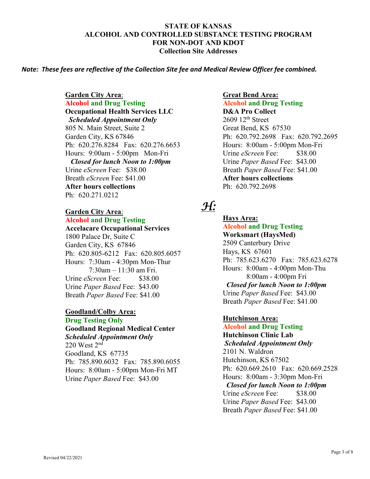#### *Note: These fees are reflective of the Collection Site fee and Medical Review Officer fee combined.*

 **Garden City Area**:  **Alcohol and Drug Testing Occupational Health Services LLC**   *Scheduled Appointment Only* 805 N. Main Street, Suite 2 Garden City, KS 67846 Ph: 620.276.8284 Fax: 620.276.6653 Hours: 9:00am - 5:00pm Mon-Fri *Closed for lunch Noon to 1:00pm* Urine *eScreen* Fee: \$38.00 Breath *eScreen* Fee: \$41.00 **After hours collections**  Ph: 620.271.0212

### **Garden City Area**: **Alcohol and Drug Testing**

**Accelacare Occupational Services**  1800 Palace Dr, Suite C Garden City, KS 67846 Ph: 620.805-6212 Fax: 620.805.6057 Hours: 7:30am - 4:30pm Mon-Thur 7:30am – 11:30 am Fri. Urine *eScreen* Fee: \$38.00 Urine *Paper Based* Fee: \$43.00 Breath *Paper Based* Fee: \$41.00

#### **Goodland/Colby Area: Drug Testing Only**

**Goodland Regional Medical Center**  *Scheduled Appointment Only*  $220$  West  $2<sup>nd</sup>$ Goodland, KS 67735 Ph: 785.890.6032 Fax: 785.890.6055 Hours: 8:00am - 5:00pm Mon-Fri MT Urine *Paper Based* Fee: \$43.00

### **Great Bend Area: Alcohol and Drug Testing D&A Pro Collect**   $2609$  12<sup>th</sup> Street Great Bend, KS 67530 Ph: 620.792.2698 Fax: 620.792.2695 Hours: 8:00am - 5:00pm Mon-Fri Urine *eScreen* Fee: \$38.00 Urine *Paper Based* Fee: \$43.00 Breath *Paper Based* Fee: \$41.00 **After hours collections**  Ph: 620.792.2698

### *H:*

**Hays Area:****Alcohol and Drug Testing Worksmart (HaysMed)**  2509 Canterbury Drive Hays, KS 67601 Ph: 785.623.6270 Fax: 785.623.6278 Hours: 8:00am - 4:00pm Mon-Thu 8:00am - 4:00pm Fri *Closed for lunch Noon to 1:00pm* Urine *Paper Based* Fee: \$43.00 Breath *Paper Based* Fee: \$41.00

### **Hutchinson Area:**

**Alcohol and Drug Testing Hutchinson Clinic Lab**   *Scheduled Appointment Only* 2101 N. Waldron Hutchinson, KS 67502 Ph: 620.669.2610 Fax: 620.669.2528 Hours: 8:00am - 3:30pm Mon-Fri *Closed for lunch Noon to 1:00pm* Urine *eScreen* Fee: \$38.00 Urine *Paper Based* Fee: \$43.00 Breath *Paper Based* Fee: \$41.00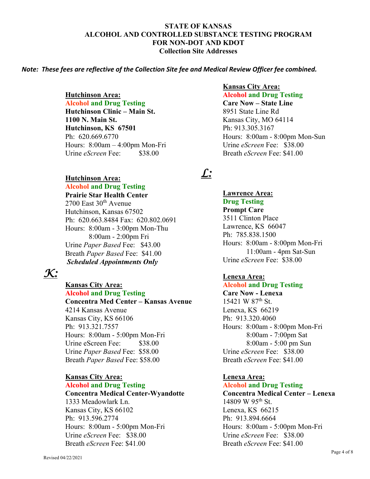#### *Note: These fees are reflective of the Collection Site fee and Medical Review Officer fee combined.*

 **Hutchinson Area:** 

**Alcohol and Drug Testing Hutchinson Clinic – Main St. 1100 N. Main St. Hutchinson, KS 67501**  Ph: 620.669.6770 Hours: 8:00am – 4:00pm Mon-Fri Urine *eScreen* Fee: \$38.00

### **Hutchinson Area:**

**Alcohol and Drug Testing**

**Prairie Star Health Center**   $2700$  East  $30<sup>th</sup>$  Avenue Hutchinson, Kansas 67502 Ph: 620.663.8484 Fax: 620.802.0691 Hours: 8:00am - 3:00pm Mon-Thu 8:00am - 2:00pm Fri Urine *Paper Based* Fee: \$43.00

Breath *Paper Based* Fee: \$41.00  *Scheduled Appointments Only* 

## *K:*

### **Kansas City Area:**

 **Alcohol and Drug Testing Concentra Med Center – Kansas Avenue**  4214 Kansas Avenue Kansas City, KS 66106 Ph: 913.321.7557 Hours: 8:00am - 5:00pm Mon-Fri Urine eScreen Fee: \$38.00 Urine *Paper Based* Fee: \$58.00 Breath *Paper Based* Fee: \$58.00

#### **Kansas City Area: Alcohol and Drug Testing**

**Concentra Medical Center-Wyandotte**  1333 Meadowlark Ln. Kansas City, KS 66102 Ph: 913.596.2774 Hours: 8:00am - 5:00pm Mon-Fri Urine *eScreen* Fee: \$38.00 Breath *eScreen* Fee: \$41.00

#### **Kansas City Area:**

**Alcohol and Drug Testing Care Now – State Line**  8951 State Line Rd Kansas City, MO 64114 Ph: 913.305.3167 Hours: 8:00am - 8:00pm Mon-Sun Urine *eScreen* Fee: \$38.00 Breath *eScreen* Fee: \$41.00

## *L:*

**Lawrence Area: Drug Testing Prompt Care**  3511 Clinton Place Lawrence, KS 66047 Ph: 785.838.1500 Hours: 8:00am - 8:00pm Mon-Fri 11:00am - 4pm Sat-Sun Urine *eScreen* Fee: \$38.00

### **Lenexa Area:**

**Alcohol and Drug Testing**

**Care Now - Lenexa**  15421 W 87<sup>th</sup> St. Lenexa, KS 66219 Ph: 913.320.4060 Hours: 8:00am - 8:00pm Mon-Fri 8:00am - 7:00pm Sat 8:00am - 5:00 pm Sun Urine *eScreen* Fee: \$38.00 Breath *eScreen* Fee: \$41.00

### **Lenexa Area:**

### **Alcohol and Drug Testing Concentra Medical Center – Lenexa**  14809 W 95<sup>th</sup> St. Lenexa, KS 66215 Ph: 913.894.6664 Hours: 8:00am - 5:00pm Mon-Fri Urine *eScreen* Fee: \$38.00

Breath *eScreen* Fee: \$41.00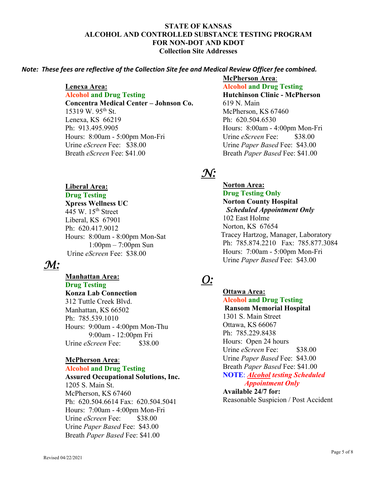### *Note: These fees are reflective of the Collection Site fee and Medical Review Officer fee combined.*

#### **Lenexa Area:**

**Alcohol and Drug Testing Concentra Medical Center – Johnson Co.**  15319 W.  $95^{th}$  St. Lenexa, KS 66219 Ph: 913.495.9905 Hours: 8:00am - 5:00pm Mon-Fri Urine *eScreen* Fee: \$38.00 Breath *eScreen* Fee: \$41.00

### **Liberal Area:**

### **Drug Testing Xpress Wellness UC**  445 W.  $15<sup>th</sup>$  Street Liberal, KS 67901 Ph: 620.417.9012 Hours: 8:00am - 8:00pm Mon-Sat 1:00pm – 7:00pm Sun Urine *eScreen* Fee: \$38.00

### *M:*

**Manhattan Area: Drug Testing Konza Lab Connection**  312 Tuttle Creek Blvd. Manhattan, KS 66502 Ph: 785.539.1010 Hours: 9:00am - 4:00pm Mon-Thu 9:00am - 12:00pm Fri Urine *eScreen* Fee: \$38.00

### **McPherson Area**: **Alcohol and Drug Testing Assured Occupational Solutions, Inc.**

1205 S. Main St. McPherson, KS 67460 Ph: 620.504.6614 Fax: 620.504.5041 Hours: 7:00am - 4:00pm Mon-Fri Urine *eScreen* Fee: \$38.00 Urine *Paper Based* Fee: \$43.00 Breath *Paper Based* Fee: \$41.00

### **McPherson Area**:

**Alcohol and Drug Testing Hutchinson Clinic - McPherson**  619 N. Main McPherson, KS 67460 Ph: 620.504.6530 Hours: 8:00am - 4:00pm Mon-Fri Urine *eScreen* Fee: \$38.00 Urine *Paper Based* Fee: \$43.00 Breath *Paper Based* Fee: \$41.00

# *N:*

**Norton Area: Drug Testing Only Norton County Hospital** *Scheduled Appointment Only* 102 East Holme Norton, KS 67654 Tracey Hartzog, Manager, Laboratory Ph: 785.874.2210 Fax: 785.877.3084 Hours: 7:00am - 5:00pm Mon-Fri Urine *Paper Based* Fee: \$43.00

### *O:*

 **Ottawa Area: Alcohol and Drug Testing Ransom Memorial Hospital**  1301 S. Main Street Ottawa, KS 66067 Ph: 785.229.8438 Hours: Open 24 hours Urine *eScreen* Fee: \$38.00 Urine *Paper Based* Fee: \$43.00 Breath *Paper Based* Fee: \$41.00 **NOTE**: *Alcohol testing Scheduled Appointment Only*  **Available 24/7 for:** 

Reasonable Suspicion / Post Accident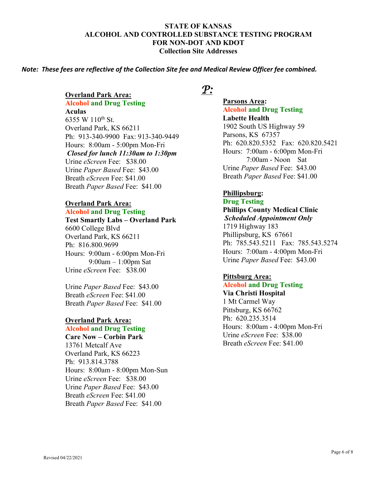#### *Note: These fees are reflective of the Collection Site fee and Medical Review Officer fee combined.*

#### **Overland Park Area:**

**Alcohol and Drug Testing Aculas**  6355 W 110<sup>th</sup> St. Overland Park, KS 66211 Ph: 913-340-9900 Fax: 913-340-9449 Hours: 8:00am - 5:00pm Mon-Fri *Closed for lunch 11:30am to 1:30pm* Urine *eScreen* Fee: \$38.00 Urine *Paper Based* Fee: \$43.00 Breath *eScreen* Fee: \$41.00 Breath *Paper Based* Fee: \$41.00

#### **Overland Park Area:**

#### **Alcohol and Drug Testing**

**Test Smartly Labs – Overland Park**  6600 College Blvd Overland Park, KS 66211 Ph: 816.800.9699 Hours: 9:00am - 6:00pm Mon-Fri 9:00am – 1:00pm Sat Urine *eScreen* Fee: \$38.00

Urine *Paper Based* Fee: \$43.00 Breath *eScreen* Fee: \$41.00 Breath *Paper Based* Fee: \$41.00

### **Overland Park Area:**

### **Alcohol and Drug Testing**

**Care Now – Corbin Park**  13761 Metcalf Ave Overland Park, KS 66223 Ph: 913.814.3788 Hours: 8:00am - 8:00pm Mon-Sun Urine *eScreen* Fee: \$38.00 Urine *Paper Based* Fee: \$43.00 Breath *eScreen* Fee: \$41.00 Breath *Paper Based* Fee: \$41.00

### *P:*

 **Parsons Area: Alcohol and Drug Testing Labette Health**  1902 South US Highway 59 Parsons, KS 67357 Ph: 620.820.5352 Fax: 620.820.5421 Hours: 7:00am - 6:00pm Mon-Fri 7:00am - Noon Sat Urine *Paper Based* Fee: \$43.00 Breath *Paper Based* Fee: \$41.00

### **Phillipsburg:**

### **Drug Testing**

**Phillips County Medical Clinic**   *Scheduled Appointment Only* 1719 Highway 183 Phillipsburg, KS 67661 Ph: 785.543.5211 Fax: 785.543.5274 Hours: 7:00am - 4:00pm Mon-Fri Urine *Paper Based* Fee: \$43.00

### **Pittsburg Area:**

**Alcohol and Drug Testing Via Christi Hospital**  1 Mt Carmel Way Pittsburg, KS 66762 Ph: 620.235.3514 Hours: 8:00am - 4:00pm Mon-Fri Urine *eScreen* Fee: \$38.00 Breath *eScreen* Fee: \$41.00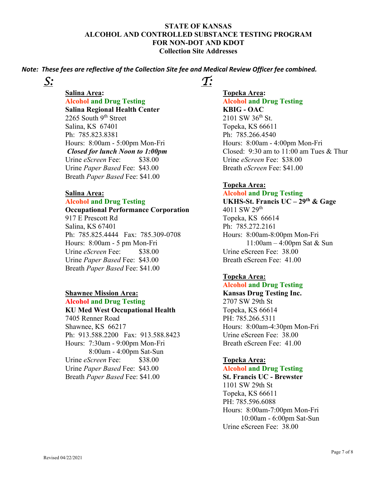*Note: These fees are reflective of the Collection Site fee and Medical Review Officer fee combined.*

*S:*

 **Salina Area: Alcohol and Drug Testing Salina Regional Health Center**  2265 South 9<sup>th</sup> Street Salina, KS 67401 Ph: 785.823.8381 Hours: 8:00am - 5:00pm Mon-Fri *Closed for lunch Noon to 1:00pm* Urine *eScreen* Fee: \$38.00 Urine *Paper Based* Fee: \$43.00 Breath *Paper Based* Fee: \$41.00

### **Salina Area:**

### **Alcohol and Drug Testing**

 **Occupational Performance Corporation**  917 E Prescott Rd Salina, KS 67401 Ph: 785.825.4444 Fax: 785.309-0708 Hours: 8:00am - 5 pm Mon-Fri Urine *eScreen* Fee: \$38.00 Urine *Paper Based* Fee: \$43.00 Breath *Paper Based* Fee: \$41.00

### **Shawnee Mission Area:**

### **Alcohol and Drug Testing**

**KU Med West Occupational Health** 7405 Renner Road Shawnee, KS 66217 Ph: 913.588.2200 Fax: 913.588.8423 Hours: 7:30am - 9:00pm Mon-Fri 8:00am - 4:00pm Sat-Sun Urine *eScreen* Fee: \$38.00 Urine *Paper Based* Fee: \$43.00 Breath *Paper Based* Fee: \$41.00

### *T:*

 **Topeka Area: Alcohol and Drug Testing KBIG - OAC**  2101 SW 36<sup>th</sup> St. Topeka, KS 66611 Ph: 785.266.4540 Hours: 8:00am - 4:00pm Mon-Fri Closed: 9:30 am to 11:00 am Tues & Thur Urine *eScreen* Fee: \$38.00 Breath *eScreen* Fee: \$41.00

### **Topeka Area:**

**Alcohol and Drug Testing UKHS-St. Francis UC – 29th & Gage**  4011 SW 29th Topeka, KS 66614 Ph: 785.272.2161 Hours: 8:00am-8:00pm Mon-Fri 11:00am – 4:00pm Sat & Sun Urine eScreen Fee: 38.00 Breath eScreen Fee: 41.00

### **Topeka Area:**

### **Alcohol and Drug Testing**

**Kansas Drug Testing Inc.**  2707 SW 29th St Topeka, KS 66614 PH: 785.266.5311 Hours: 8:00am-4:30pm Mon-Fri Urine eScreen Fee: 38.00 Breath eScreen Fee: 41.00

### **Topeka Area:**

### **Alcohol and Drug Testing**

**St. Francis UC - Brewster**  1101 SW 29th St Topeka, KS 66611 PH: 785.596.6088 Hours: 8:00am-7:00pm Mon-Fri 10:00am - 6:00pm Sat-Sun Urine eScreen Fee: 38.00